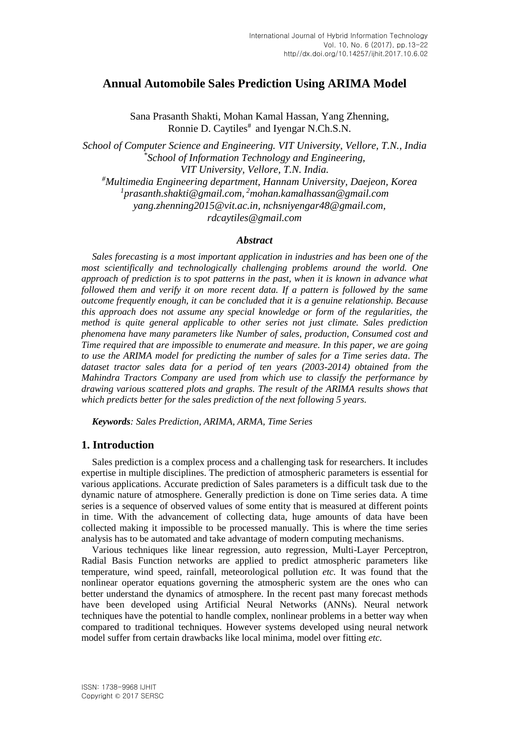# **Annual Automobile Sales Prediction Using ARIMA Model**

Sana Prasanth Shakti, Mohan Kamal Hassan, Yang Zhenning, Ronnie D. Caytiles<sup>#</sup> and Iyengar N.Ch.S.N.

*School of Computer Science and Engineering. VIT University, Vellore, T.N., India \* School of Information Technology and Engineering, VIT University, Vellore, T.N. India. #Multimedia Engineering department, Hannam University, Daejeon, Korea 1 [prasanth.shakti@gmail.com,](mailto:prasanth.shakti@gmail.com) <sup>2</sup>[mohan.kamalhassan@gmail.com](mailto:mohan.kamalhassan@gmail.com) yang.zhenning2015@vit.ac.in, nchsniyengar48@gmail.com, rdcaytiles@gmail.com*

## *Abstract*

*Sales forecasting is a most important application in industries and has been one of the most scientifically and technologically challenging problems around the world. One approach of prediction is to spot patterns in the past, when it is known in advance what followed them and verify it on more recent data. If a pattern is followed by the same outcome frequently enough, it can be concluded that it is a genuine relationship. Because this approach does not assume any special knowledge or form of the regularities, the method is quite general applicable to other series not just climate. Sales prediction phenomena have many parameters like Number of sales, production, Consumed cost and Time required that are impossible to enumerate and measure. In this paper, we are going to use the ARIMA model for predicting the number of sales for a Time series data. The dataset tractor sales data for a period of ten years (2003-2014) obtained from the Mahindra Tractors Company are used from which use to classify the performance by drawing various scattered plots and graphs. The result of the ARIMA results shows that which predicts better for the sales prediction of the next following 5 years.*

*Keywords: Sales Prediction, ARIMA, ARMA, Time Series*

# **1. Introduction**

Sales prediction is a complex process and a challenging task for researchers. It includes expertise in multiple disciplines. The prediction of atmospheric parameters is essential for various applications. Accurate prediction of Sales parameters is a difficult task due to the dynamic nature of atmosphere. Generally prediction is done on Time series data. A time series is a sequence of observed values of some entity that is measured at different points in time. With the advancement of collecting data, huge amounts of data have been collected making it impossible to be processed manually. This is where the time series analysis has to be automated and take advantage of modern computing mechanisms.

Various techniques like linear regression, auto regression, Multi-Layer Perceptron, Radial Basis Function networks are applied to predict atmospheric parameters like temperature, wind speed, rainfall, meteorological pollution *etc.* It was found that the nonlinear operator equations governing the atmospheric system are the ones who can better understand the dynamics of atmosphere. In the recent past many forecast methods have been developed using Artificial Neural Networks (ANNs). Neural network techniques have the potential to handle complex, nonlinear problems in a better way when compared to traditional techniques. However systems developed using neural network model suffer from certain drawbacks like local minima, model over fitting *etc.*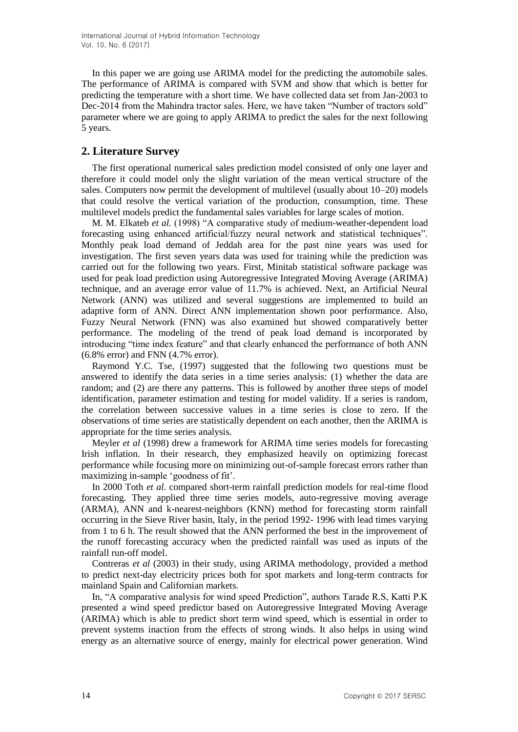In this paper we are going use ARIMA model for the predicting the automobile sales. The performance of ARIMA is compared with SVM and show that which is better for predicting the temperature with a short time. We have collected data set from Jan-2003 to Dec-2014 from the Mahindra tractor sales. Here, we have taken "Number of tractors sold" parameter where we are going to apply ARIMA to predict the sales for the next following 5 years.

# **2. Literature Survey**

The first operational numerical sales prediction model consisted of only one layer and therefore it could model only the slight variation of the mean vertical structure of the sales. Computers now permit the development of multilevel (usually about 10–20) models that could resolve the vertical variation of the production, consumption, time. These multilevel models predict the fundamental sales variables for large scales of motion.

M. M. Elkateb *et al.* (1998) "A comparative study of medium-weather-dependent load forecasting using enhanced artificial/fuzzy neural network and statistical techniques". Monthly peak load demand of Jeddah area for the past nine years was used for investigation. The first seven years data was used for training while the prediction was carried out for the following two years. First, Minitab statistical software package was used for peak load prediction using Autoregressive Integrated Moving Average (ARIMA) technique, and an average error value of 11.7% is achieved. Next, an Artificial Neural Network (ANN) was utilized and several suggestions are implemented to build an adaptive form of ANN. Direct ANN implementation shown poor performance. Also, Fuzzy Neural Network (FNN) was also examined but showed comparatively better performance. The modeling of the trend of peak load demand is incorporated by introducing "time index feature" and that clearly enhanced the performance of both ANN (6.8% error) and FNN (4.7% error).

Raymond Y.C. Tse, (1997) suggested that the following two questions must be answered to identify the data series in a time series analysis: (1) whether the data are random; and (2) are there any patterns. This is followed by another three steps of model identification, parameter estimation and testing for model validity. If a series is random, the correlation between successive values in a time series is close to zero. If the observations of time series are statistically dependent on each another, then the ARIMA is appropriate for the time series analysis.

Meyler *et al* (1998) drew a framework for ARIMA time series models for forecasting Irish inflation. In their research, they emphasized heavily on optimizing forecast performance while focusing more on minimizing out-of-sample forecast errors rather than maximizing in-sample 'goodness of fit'.

In 2000 Toth *et al.* compared short-term rainfall prediction models for real-time flood forecasting. They applied three time series models, auto-regressive moving average (ARMA), ANN and k-nearest-neighbors (KNN) method for forecasting storm rainfall occurring in the Sieve River basin, Italy, in the period 1992- 1996 with lead times varying from 1 to 6 h. The result showed that the ANN performed the best in the improvement of the runoff forecasting accuracy when the predicted rainfall was used as inputs of the rainfall run-off model.

Contreras *et al* (2003) in their study, using ARIMA methodology, provided a method to predict next-day electricity prices both for spot markets and long-term contracts for mainland Spain and Californian markets.

In, "A comparative analysis for wind speed Prediction", authors Tarade R.S, Katti P.K presented a wind speed predictor based on Autoregressive Integrated Moving Average (ARIMA) which is able to predict short term wind speed, which is essential in order to prevent systems inaction from the effects of strong winds. It also helps in using wind energy as an alternative source of energy, mainly for electrical power generation. Wind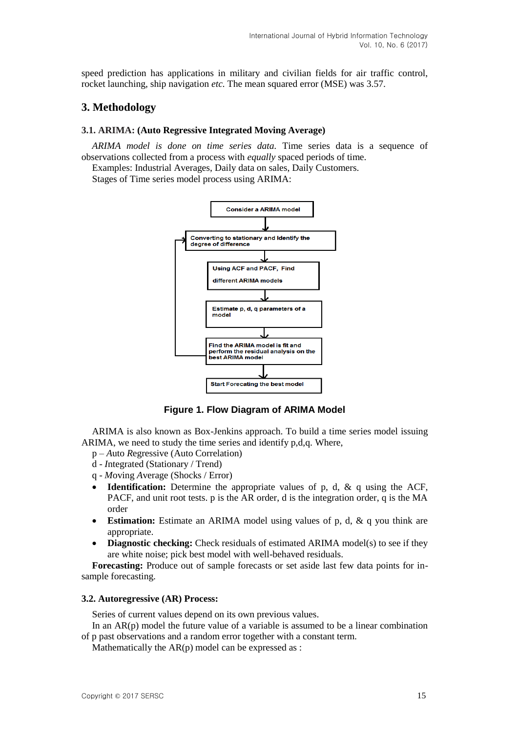speed prediction has applications in military and civilian fields for air traffic control, rocket launching, ship navigation *etc.* The mean squared error (MSE) was 3.57.

# **3. Methodology**

### **3.1. ARIMA: (Auto Regressive Integrated Moving Average)**

*ARIMA model is done on time series data.* Time series data is a sequence of observations collected from a process with *equally* spaced periods of time.

Examples: Industrial Averages, Daily data on sales, Daily Customers.

Stages of Time series model process using ARIMA:



**Figure 1. Flow Diagram of ARIMA Model**

ARIMA is also known as Box-Jenkins approach. To build a time series model issuing ARIMA, we need to study the time series and identify p,d,q. Where,

- p *A*uto *R*egressive (Auto Correlation)
- d *I*ntegrated (Stationary / Trend)
- q *M*oving *A*verage (Shocks / Error)
- **Identification:** Determine the appropriate values of p, d, & q using the ACF, PACF, and unit root tests. p is the AR order, d is the integration order, q is the MA order
- **Estimation:** Estimate an ARIMA model using values of p, d, & q you think are appropriate.
- **•** Diagnostic checking: Check residuals of estimated ARIMA model(s) to see if they are white noise; pick best model with well-behaved residuals.

**Forecasting:** Produce out of sample forecasts or set aside last few data points for insample forecasting.

### **3.2. Autoregressive (AR) Process:**

Series of current values depend on its own previous values.

In an  $AR(p)$  model the future value of a variable is assumed to be a linear combination of p past observations and a random error together with a constant term.

Mathematically the  $AR(p)$  model can be expressed as :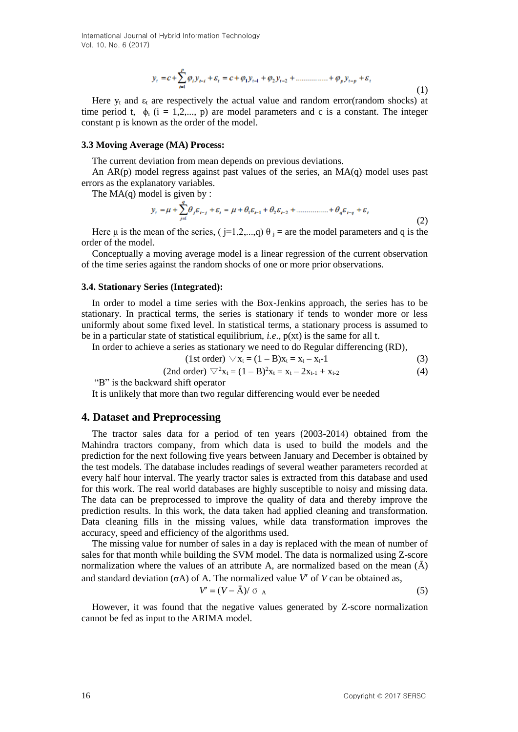International Journal of Hybrid Information Technology Vol. 10, No. 6 (2017)

$$
y_{t} = c + \sum_{i=1}^{p} \varphi_{i} y_{t-i} + \varepsilon_{i} = c + \varphi_{1} y_{t-1} + \varphi_{2} y_{t-2} + \dots + \varphi_{p} y_{t-p} + \varepsilon_{t}
$$
\n(1)

Here  $y_t$  and  $\varepsilon_t$  are respectively the actual value and random error(random shocks) at time period t,  $\phi_i$  (i = 1,2,..., p) are model parameters and c is a constant. The integer constant p is known as the order of the model.

#### **3.3 Moving Average (MA) Process:**

The current deviation from mean depends on previous deviations.

An  $AR(p)$  model regress against past values of the series, an  $MA(q)$  model uses past errors as the explanatory variables.

The  $MA(q)$  model is given by :

$$
y_{t} = \mu + \sum_{j=1}^{q} \theta_{j} \varepsilon_{t-j} + \varepsilon_{t} = \mu + \theta_{1} \varepsilon_{t-1} + \theta_{2} \varepsilon_{t-2} + \dots + \theta_{q} \varepsilon_{t-q} + \varepsilon_{t}
$$
\n(2)

Here  $\mu$  is the mean of the series, ( j=1,2,...,q)  $\theta$  j = are the model parameters and q is the order of the model.

Conceptually a moving average model is a linear regression of the current observation of the time series against the random shocks of one or more prior observations.

#### **3.4. Stationary Series (Integrated):**

In order to model a time series with the Box-Jenkins approach, the series has to be stationary. In practical terms, the series is stationary if tends to wonder more or less uniformly about some fixed level. In statistical terms, a stationary process is assumed to be in a particular state of statistical equilibrium, *i.e*., p(xt) is the same for all t.

In order to achieve a series as stationary we need to do Regular differencing (RD),

$$
(1st order) \nabla x_t = (1 - B)x_t = x_t - x_{t-1}
$$
 (3)

$$
(2nd order) \nabla^2 x_t = (1-B)^2 x_t = x_t - 2x_{t-1} + x_{t-2}
$$
 (4)

"B" is the backward shift operator

It is unlikely that more than two regular differencing would ever be needed

### **4. Dataset and Preprocessing**

The tractor sales data for a period of ten years (2003-2014) obtained from the Mahindra tractors company, from which data is used to build the models and the prediction for the next following five years between January and December is obtained by the test models. The database includes readings of several weather parameters recorded at every half hour interval. The yearly tractor sales is extracted from this database and used for this work. The real world databases are highly susceptible to noisy and missing data. The data can be preprocessed to improve the quality of data and thereby improve the prediction results. In this work, the data taken had applied cleaning and transformation. Data cleaning fills in the missing values, while data transformation improves the accuracy, speed and efficiency of the algorithms used.

The missing value for number of sales in a day is replaced with the mean of number of sales for that month while building the SVM model. The data is normalized using Z-score normalization where the values of an attribute A, are normalized based on the mean  $(\bar{A})$ and standard deviation ( $\sigma$ A) of A. The normalized value *V'* of *V* can be obtained as,

$$
V' = (V - \bar{A})/\sigma_A \tag{5}
$$

However, it was found that the negative values generated by Z-score normalization cannot be fed as input to the ARIMA model.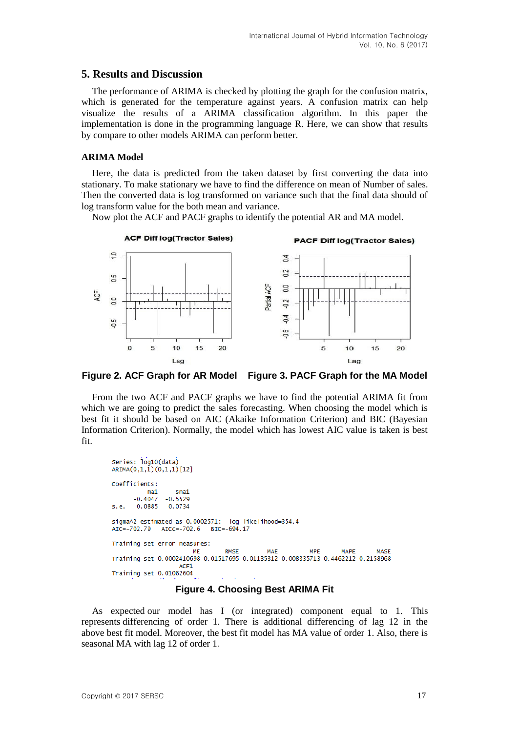# **5. Results and Discussion**

The performance of ARIMA is checked by plotting the graph for the confusion matrix, which is generated for the temperature against years. A confusion matrix can help visualize the results of a ARIMA classification algorithm. In this paper the implementation is done in the programming language R. Here, we can show that results by compare to other models ARIMA can perform better.

### **ARIMA Model**

Here, the data is predicted from the taken dataset by first converting the data into stationary. To make stationary we have to find the difference on mean of Number of sales. Then the converted data is log transformed on variance such that the final data should of log transform value for the both mean and variance.

Now plot the ACF and PACF graphs to identify the potential AR and MA model.



**Figure 2. ACF Graph for AR Model Figure 3. PACF Graph for the MA Model**

From the two ACF and PACF graphs we have to find the potential ARIMA fit from which we are going to predict the sales forecasting. When choosing the model which is best fit it should be based on AIC (Akaike Information Criterion) and BIC (Bayesian Information Criterion). Normally, the model which has lowest AIC value is taken is best fit.

```
Series: log10(data)
ARIMA(0,1,1)(0,1,1)[12]
Coefficients:
          ma1smat-0.4047-0.5529s.e.
       0.0885
                0.0734
sigma^2 estimated as 0.0002571: log likelihood=354.4
AIC = -702.79AICC=-702.6
                            BIC = -694.17Training set error measures:
                                 RMSE
                                             MAE
                                                          MPE
                                                                   MAPE
                                                                             MASE
                       ME
Training set 0.0002410698 0.01517695 0.01135312 0.008335713 0.4462212 0.2158968
                   ACF1
Training set 0.01062604
```
**Figure 4. Choosing Best ARIMA Fit**

As expected our model has I (or integrated) component equal to 1. This represents differencing of order 1. There is additional differencing of lag 12 in the above best fit model. Moreover, the best fit model has MA value of order 1. Also, there is seasonal MA with lag 12 of order 1.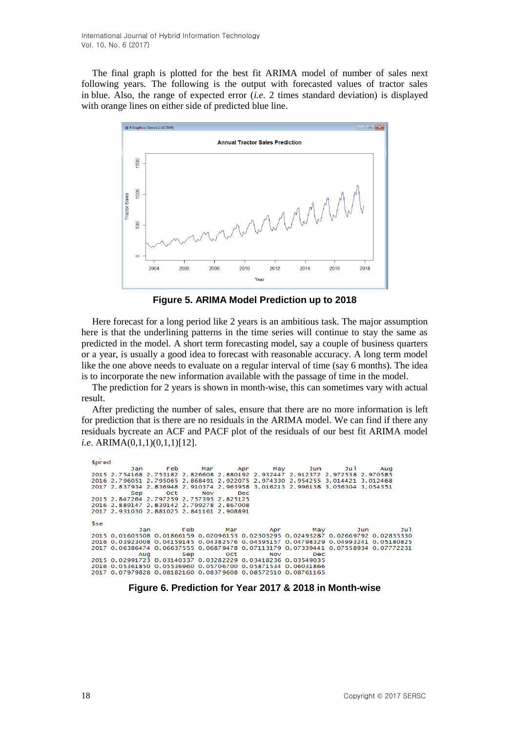The final graph is plotted for the best fit ARIMA model of number of sales next following years. The following is the output with forecasted values of tractor sales in blue. Also, the range of expected error (*i.e*. 2 times standard deviation) is displayed with orange lines on either side of predicted blue line.



**Figure 5. ARIMA Model Prediction up to 2018**

Here forecast for a long period like 2 years is an ambitious task. The major assumption here is that the underlining patterns in the time series will continue to stay the same as predicted in the model. A short term forecasting model, say a couple of business quarters or a year, is usually a good idea to forecast with reasonable accuracy. A long term model like the one above needs to evaluate on a regular interval of time (say 6 months). The idea is to incorporate the new information available with the passage of time in the model.

The prediction for 2 years is shown in month-wise, this can sometimes vary with actual result.

After predicting the number of sales, ensure that there are no more information is left for prediction that is there are no residuals in the ARIMA model. We can find if there any residuals bycreate an ACF and PACF plot of the residuals of our best fit ARIMA model *i.e*. ARIMA(0,1,1)(0,1,1)[12].

| <b>Spred</b> |                                          |                                                                                                                |  |             |                                                                                   |     |     |
|--------------|------------------------------------------|----------------------------------------------------------------------------------------------------------------|--|-------------|-----------------------------------------------------------------------------------|-----|-----|
|              |                                          |                                                                                                                |  |             | Jan Feb Mar Apr May Jun Jul                                                       | Aug |     |
|              |                                          |                                                                                                                |  |             | 2015 2.754168 2.753182 2.826608 2.880192 2.932447 2.912372 2.972538 2.970585      |     |     |
|              |                                          |                                                                                                                |  |             | 2016 2.796051 2.795065 2.868491 2.922075 2.974330 2.954255 3.014421 3.012468      |     |     |
|              |                                          |                                                                                                                |  |             | 2017 2.837934 2.836948 2.910374 2.963958 3.016213 2.996138 3.056304 3.054351      |     |     |
|              |                                          | Sep Oct Nov Dec                                                                                                |  |             |                                                                                   |     |     |
|              | 2015 2.847264 2.797259 2.757395 2.825125 |                                                                                                                |  |             |                                                                                   |     |     |
|              | 2016 2.889147 2.839142 2.799278 2.867008 |                                                                                                                |  |             |                                                                                   |     |     |
|              | 2017 2.931030 2.881025 2.841161 2.908891 |                                                                                                                |  |             |                                                                                   |     |     |
|              |                                          |                                                                                                                |  |             |                                                                                   |     |     |
| <b>Sse</b>   |                                          |                                                                                                                |  |             |                                                                                   |     |     |
|              |                                          |                                                                                                                |  |             | Jan Feb Mar Apr May Jun                                                           |     | Jul |
|              |                                          |                                                                                                                |  |             | 2015 0.01603508 0.01866159 0.02096153 0.02303295 0.02493287 0.02669792 0.02835330 |     |     |
|              |                                          |                                                                                                                |  |             | 2016 0.03923008 0.04159145 0.04382576 0.04595157 0.04798329 0.04993241 0.05180825 |     |     |
|              |                                          |                                                                                                                |  |             | 2017 0.06386474 0.06637555 0.06879478 0.07113179 0.07339441 0.07558934 0.07772231 |     |     |
|              |                                          | Aug in the season of the season of the season of the season of the season of the season of the season of the s |  | Sep Oct Nov | <b>Dec</b>                                                                        |     |     |
|              |                                          |                                                                                                                |  |             | 2015 0.02991723 0.03140337 0.03282229 0.03418236 0.03549035                       |     |     |
|              |                                          |                                                                                                                |  |             | 2016 0.05361850 0.05536960 0.05706700 0.05871534 0.06031866                       |     |     |
|              |                                          |                                                                                                                |  |             | 2017 0.07979828 0.08182160 0.08379608 0.08572510 0.08761165                       |     |     |
|              |                                          |                                                                                                                |  |             |                                                                                   |     |     |

**Figure 6. Prediction for Year 2017 & 2018 in Month-wise**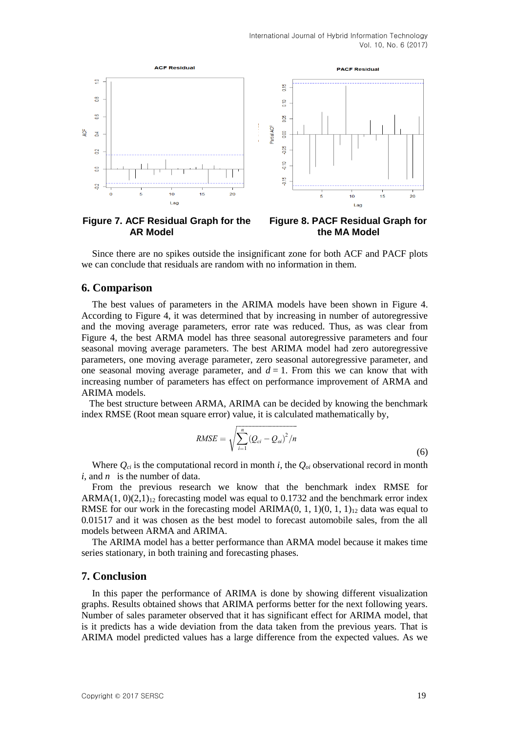

**AR Model the MA Model**

**Figure 7. ACF Residual Graph for the Figure 8. PACF Residual Graph for**

Since there are no spikes outside the insignificant zone for both ACF and PACF plots we can conclude that residuals are random with no information in them.

### **6. Comparison**

The best values of parameters in the ARIMA models have been shown in Figure 4. According to Figure 4, it was determined that by increasing in number of autoregressive and the moving average parameters, error rate was reduced. Thus, as was clear from Figure 4, the best ARMA model has three seasonal autoregressive parameters and four seasonal moving average parameters. The best ARIMA model had zero autoregressive parameters, one moving average parameter, zero seasonal autoregressive parameter, and one seasonal moving average parameter, and  $d = 1$ . From this we can know that with increasing number of parameters has effect on performance improvement of ARMA and ARIMA models.

The best structure between ARMA, ARIMA can be decided by knowing the benchmark index RMSE (Root mean square error) value, it is calculated mathematically by,

$$
RMSE = \sqrt{\sum_{i=1}^{n} (Q_{ci} - Q_{oi})^2/n}
$$
 (6)

Where  $Q_{ci}$  is the computational record in month *i*, the  $Q_{oi}$  observational record in month *i*, and *n* is the number of data.

From the previous research we know that the benchmark index RMSE for ARMA(1,  $0(2,1)<sub>12</sub>$  forecasting model was equal to 0.1732 and the benchmark error index RMSE for our work in the forecasting model ARIMA(0, 1, 1)(0, 1, 1)<sub>12</sub> data was equal to 0.01517 and it was chosen as the best model to forecast automobile sales, from the all models between ARMA and ARIMA.

The ARIMA model has a better performance than ARMA model because it makes time series stationary, in both training and forecasting phases.

## **7. Conclusion**

In this paper the performance of ARIMA is done by showing different visualization graphs. Results obtained shows that ARIMA performs better for the next following years. Number of sales parameter observed that it has significant effect for ARIMA model, that is it predicts has a wide deviation from the data taken from the previous years. That is ARIMA model predicted values has a large difference from the expected values. As we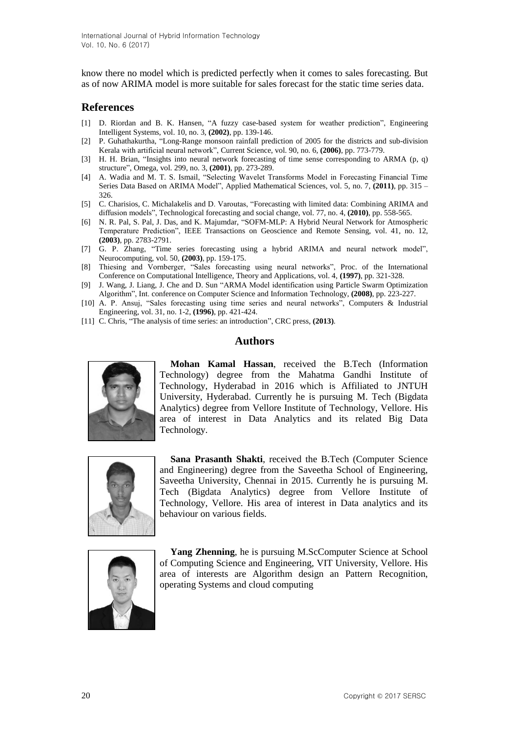know there no model which is predicted perfectly when it comes to sales forecasting. But as of now ARIMA model is more suitable for sales forecast for the static time series data.

# **References**

- [1] D. Riordan and B. K. Hansen, "A fuzzy case-based system for weather prediction", Engineering Intelligent Systems, vol. 10, no. 3, **(2002)**, pp. 139-146.
- [2] P. Guhathakurtha, "Long-Range monsoon rainfall prediction of 2005 for the districts and sub-division Kerala with artificial neural network", Current Science, vol. 90, no. 6, **(2006)**, pp. 773-779.
- [3] H. H. Brian, "Insights into neural network forecasting of time sense corresponding to ARMA (p, q) structure", Omega, vol. 299, no. 3, **(2001)**, pp. 273-289.
- [4] A. Wadia and M. T. S. Ismail, "Selecting Wavelet Transforms Model in Forecasting Financial Time Series Data Based on ARIMA Model", Applied Mathematical Sciences, vol. 5, no. 7, **(2011)**, pp. 315 – 326.
- [5] C. Charisios, C. Michalakelis and D. Varoutas, "Forecasting with limited data: Combining ARIMA and diffusion models", Technological forecasting and social change, vol. 77, no. 4, **(2010)**, pp. 558-565.
- [6] N. R. Pal, S. Pal, J. Das, and K. Majumdar, "SOFM-MLP: A Hybrid Neural Network for Atmospheric Temperature Prediction", IEEE Transactions on Geoscience and Remote Sensing, vol. 41, no. 12, **(2003)**, pp. 2783-2791.
- [7] G. P. Zhang, "Time series forecasting using a hybrid ARIMA and neural network model", Neurocomputing, vol. 50, **(2003)**, pp. 159-175.
- [8] Thiesing and Vornberger, "Sales forecasting using neural networks", Proc. of the International Conference on Computational Intelligence, Theory and Applications, vol. 4, **(1997)**, pp. 321-328.
- [9] J. Wang, J. Liang, J. Che and D. Sun "ARMA Model identification using Particle Swarm Optimization Algorithm", Int. conference on Computer Science and Information Technology, **(2008)**, pp. 223-227.
- [10] A. P. Ansuj, "Sales forecasting using time series and neural networks", Computers & Industrial Engineering, vol. 31, no. 1-2, **(1996)**, pp. 421-424.
- [11] C. Chris, "The analysis of time series: an introduction", CRC press, **(2013)**.

## **Authors**



**Mohan Kamal Hassan**, received the B.Tech (Information Technology) degree from the Mahatma Gandhi Institute of Technology, Hyderabad in 2016 which is Affiliated to JNTUH University, Hyderabad. Currently he is pursuing M. Tech (Bigdata Analytics) degree from Vellore Institute of Technology, Vellore. His area of interest in Data Analytics and its related Big Data Technology.



**Sana Prasanth Shakti**, received the B.Tech (Computer Science and Engineering) degree from the Saveetha School of Engineering, Saveetha University, Chennai in 2015. Currently he is pursuing M. Tech (Bigdata Analytics) degree from Vellore Institute of Technology, Vellore. His area of interest in Data analytics and its behaviour on various fields.



**Yang Zhenning**, he is pursuing M.ScComputer Science at School of Computing Science and Engineering, VIT University, Vellore. His area of interests are Algorithm design an Pattern Recognition, operating Systems and cloud computing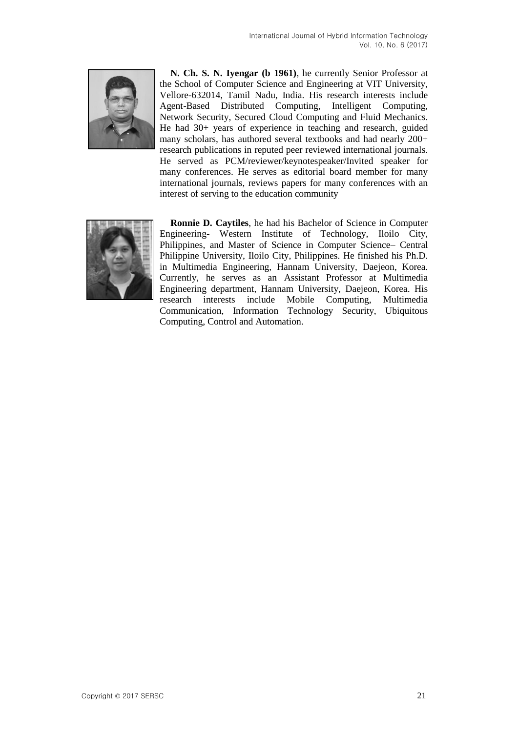

**N. Ch. S. N. Iyengar (b 1961)**, he currently Senior Professor at the School of Computer Science and Engineering at VIT University, Vellore-632014, Tamil Nadu, India. His research interests include Agent-Based Distributed Computing, Intelligent Computing, Network Security, Secured Cloud Computing and Fluid Mechanics. He had 30+ years of experience in teaching and research, guided many scholars, has authored several textbooks and had nearly 200+ research publications in reputed peer reviewed international journals. He served as PCM/reviewer/keynotespeaker/Invited speaker for many conferences. He serves as editorial board member for many international journals, reviews papers for many conferences with an interest of serving to the education community



**Ronnie D. Caytiles**, he had his Bachelor of Science in Computer Engineering- Western Institute of Technology, Iloilo City, Philippines, and Master of Science in Computer Science– Central Philippine University, Iloilo City, Philippines. He finished his Ph.D. in Multimedia Engineering, Hannam University, Daejeon, Korea. Currently, he serves as an Assistant Professor at Multimedia Engineering department, Hannam University, Daejeon, Korea. His research interests include Mobile Computing, Multimedia Communication, Information Technology Security, Ubiquitous Computing, Control and Automation.